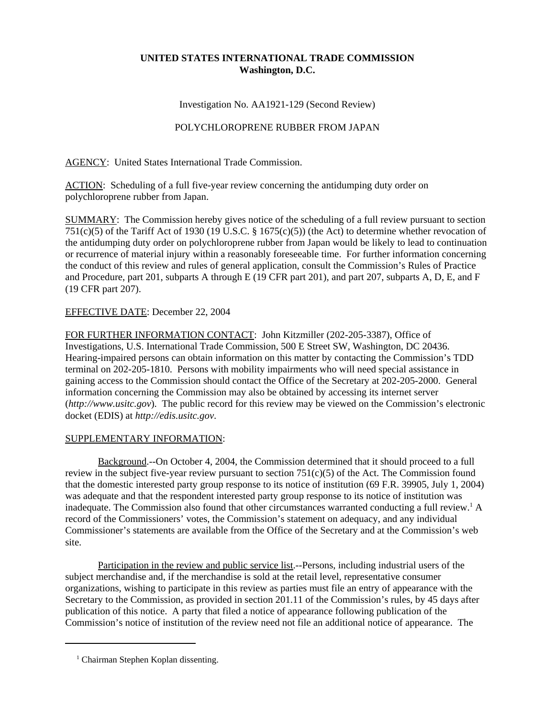## **UNITED STATES INTERNATIONAL TRADE COMMISSION Washington, D.C.**

Investigation No. AA1921-129 (Second Review)

## POLYCHLOROPRENE RUBBER FROM JAPAN

AGENCY: United States International Trade Commission.

ACTION: Scheduling of a full five-year review concerning the antidumping duty order on polychloroprene rubber from Japan.

SUMMARY: The Commission hereby gives notice of the scheduling of a full review pursuant to section 751(c)(5) of the Tariff Act of 1930 (19 U.S.C. § 1675(c)(5)) (the Act) to determine whether revocation of the antidumping duty order on polychloroprene rubber from Japan would be likely to lead to continuation or recurrence of material injury within a reasonably foreseeable time. For further information concerning the conduct of this review and rules of general application, consult the Commission's Rules of Practice and Procedure, part 201, subparts A through E (19 CFR part 201), and part 207, subparts A, D, E, and F (19 CFR part 207).

## EFFECTIVE DATE: December 22, 2004

FOR FURTHER INFORMATION CONTACT: John Kitzmiller (202-205-3387), Office of Investigations, U.S. International Trade Commission, 500 E Street SW, Washington, DC 20436. Hearing-impaired persons can obtain information on this matter by contacting the Commission's TDD terminal on 202-205-1810. Persons with mobility impairments who will need special assistance in gaining access to the Commission should contact the Office of the Secretary at 202-205-2000. General information concerning the Commission may also be obtained by accessing its internet server (*http://www.usitc.gov*). The public record for this review may be viewed on the Commission's electronic docket (EDIS) at *http://edis.usitc.gov*.

## SUPPLEMENTARY INFORMATION:

Background.--On October 4, 2004, the Commission determined that it should proceed to a full review in the subject five-year review pursuant to section 751(c)(5) of the Act. The Commission found that the domestic interested party group response to its notice of institution (69 F.R. 39905, July 1, 2004) was adequate and that the respondent interested party group response to its notice of institution was inadequate. The Commission also found that other circumstances warranted conducting a full review.<sup>1</sup> A record of the Commissioners' votes, the Commission's statement on adequacy, and any individual Commissioner's statements are available from the Office of the Secretary and at the Commission's web site.

Participation in the review and public service list.--Persons, including industrial users of the subject merchandise and, if the merchandise is sold at the retail level, representative consumer organizations, wishing to participate in this review as parties must file an entry of appearance with the Secretary to the Commission, as provided in section 201.11 of the Commission's rules, by 45 days after publication of this notice. A party that filed a notice of appearance following publication of the Commission's notice of institution of the review need not file an additional notice of appearance. The

<sup>&</sup>lt;sup>1</sup> Chairman Stephen Koplan dissenting.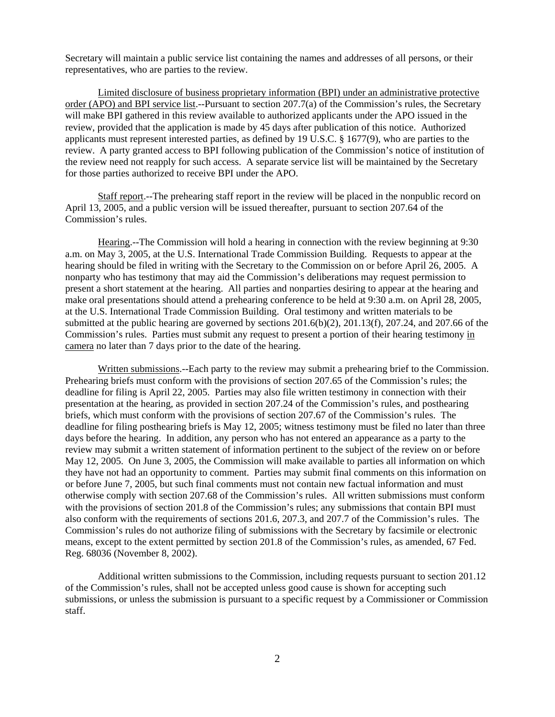Secretary will maintain a public service list containing the names and addresses of all persons, or their representatives, who are parties to the review.

Limited disclosure of business proprietary information (BPI) under an administrative protective order (APO) and BPI service list.--Pursuant to section 207.7(a) of the Commission's rules, the Secretary will make BPI gathered in this review available to authorized applicants under the APO issued in the review, provided that the application is made by 45 days after publication of this notice. Authorized applicants must represent interested parties, as defined by 19 U.S.C. § 1677(9), who are parties to the review. A party granted access to BPI following publication of the Commission's notice of institution of the review need not reapply for such access. A separate service list will be maintained by the Secretary for those parties authorized to receive BPI under the APO.

Staff report.--The prehearing staff report in the review will be placed in the nonpublic record on April 13, 2005, and a public version will be issued thereafter, pursuant to section 207.64 of the Commission's rules.

Hearing.--The Commission will hold a hearing in connection with the review beginning at 9:30 a.m. on May 3, 2005, at the U.S. International Trade Commission Building. Requests to appear at the hearing should be filed in writing with the Secretary to the Commission on or before April 26, 2005. A nonparty who has testimony that may aid the Commission's deliberations may request permission to present a short statement at the hearing. All parties and nonparties desiring to appear at the hearing and make oral presentations should attend a prehearing conference to be held at 9:30 a.m. on April 28, 2005, at the U.S. International Trade Commission Building. Oral testimony and written materials to be submitted at the public hearing are governed by sections 201.6(b)(2), 201.13(f), 207.24, and 207.66 of the Commission's rules. Parties must submit any request to present a portion of their hearing testimony in camera no later than 7 days prior to the date of the hearing.

Written submissions.--Each party to the review may submit a prehearing brief to the Commission. Prehearing briefs must conform with the provisions of section 207.65 of the Commission's rules; the deadline for filing is April 22, 2005. Parties may also file written testimony in connection with their presentation at the hearing, as provided in section 207.24 of the Commission's rules, and posthearing briefs, which must conform with the provisions of section 207.67 of the Commission's rules. The deadline for filing posthearing briefs is May 12, 2005; witness testimony must be filed no later than three days before the hearing. In addition, any person who has not entered an appearance as a party to the review may submit a written statement of information pertinent to the subject of the review on or before May 12, 2005. On June 3, 2005, the Commission will make available to parties all information on which they have not had an opportunity to comment. Parties may submit final comments on this information on or before June 7, 2005, but such final comments must not contain new factual information and must otherwise comply with section 207.68 of the Commission's rules. All written submissions must conform with the provisions of section 201.8 of the Commission's rules; any submissions that contain BPI must also conform with the requirements of sections 201.6, 207.3, and 207.7 of the Commission's rules. The Commission's rules do not authorize filing of submissions with the Secretary by facsimile or electronic means, except to the extent permitted by section 201.8 of the Commission's rules, as amended, 67 Fed. Reg. 68036 (November 8, 2002).

Additional written submissions to the Commission, including requests pursuant to section 201.12 of the Commission's rules, shall not be accepted unless good cause is shown for accepting such submissions, or unless the submission is pursuant to a specific request by a Commissioner or Commission staff.